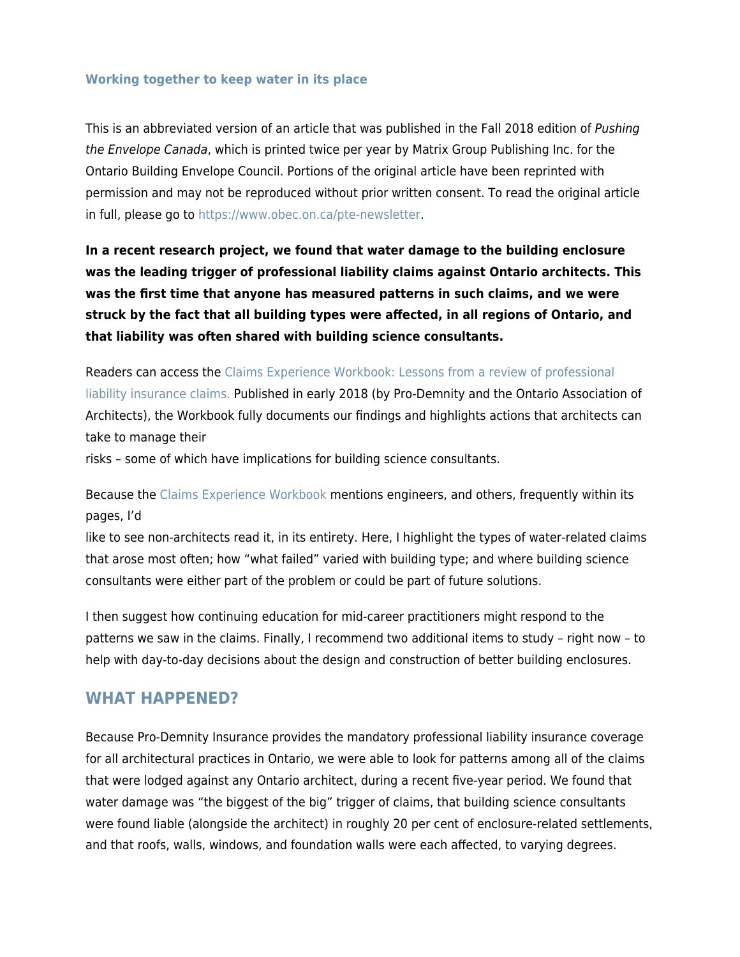#### **[Working together to keep water in its place](https://prodemnity.com/working-together-to-keep-water-in-its-place/)**

This is an abbreviated version of an article that was published in the Fall 2018 edition of Pushing the Envelope Canada, which is printed twice per year by Matrix Group Publishing Inc. for the Ontario Building Envelope Council. Portions of the original article have been reprinted with permission and may not be reproduced without prior written consent. To read the original article in full, please go to [https://www.obec.on.ca/pte-newsletter.](https://www.obec.on.ca/pte-newsletter)

**In a recent research project, we found that water damage to the building enclosure was the leading trigger of professional liability claims against Ontario architects. This was the first time that anyone has measured patterns in such claims, and we were struck by the fact that all building types were affected, in all regions of Ontario, and that liability was often shared with building science consultants.**

Readers can access the [Claims Experience Workbook: Lessons from a review of professional](https://prodemnity.com/wp-content/uploads/2021/05/Claims-Experience-Workbook.pdf) [liability insurance claims.](https://prodemnity.com/wp-content/uploads/2021/05/Claims-Experience-Workbook.pdf) Published in early 2018 (by Pro-Demnity and the Ontario Association of Architects), the Workbook fully documents our findings and highlights actions that architects can take to manage their

risks – some of which have implications for building science consultants.

Because the [Claims Experience Workbook](https://prodemnity.com/wp-content/uploads/2021/05/Claims-Experience-Workbook.pdf) mentions engineers, and others, frequently within its pages, I'd

like to see non-architects read it, in its entirety. Here, I highlight the types of water-related claims that arose most often; how "what failed" varied with building type; and where building science consultants were either part of the problem or could be part of future solutions.

I then suggest how continuing education for mid-career practitioners might respond to the patterns we saw in the claims. Finally, I recommend two additional items to study – right now – to help with day-to-day decisions about the design and construction of better building enclosures.

#### **WHAT HAPPENED?**

Because Pro-Demnity Insurance provides the mandatory professional liability insurance coverage for all architectural practices in Ontario, we were able to look for patterns among all of the claims that were lodged against any Ontario architect, during a recent five-year period. We found that water damage was "the biggest of the big" trigger of claims, that building science consultants were found liable (alongside the architect) in roughly 20 per cent of enclosure-related settlements, and that roofs, walls, windows, and foundation walls were each affected, to varying degrees.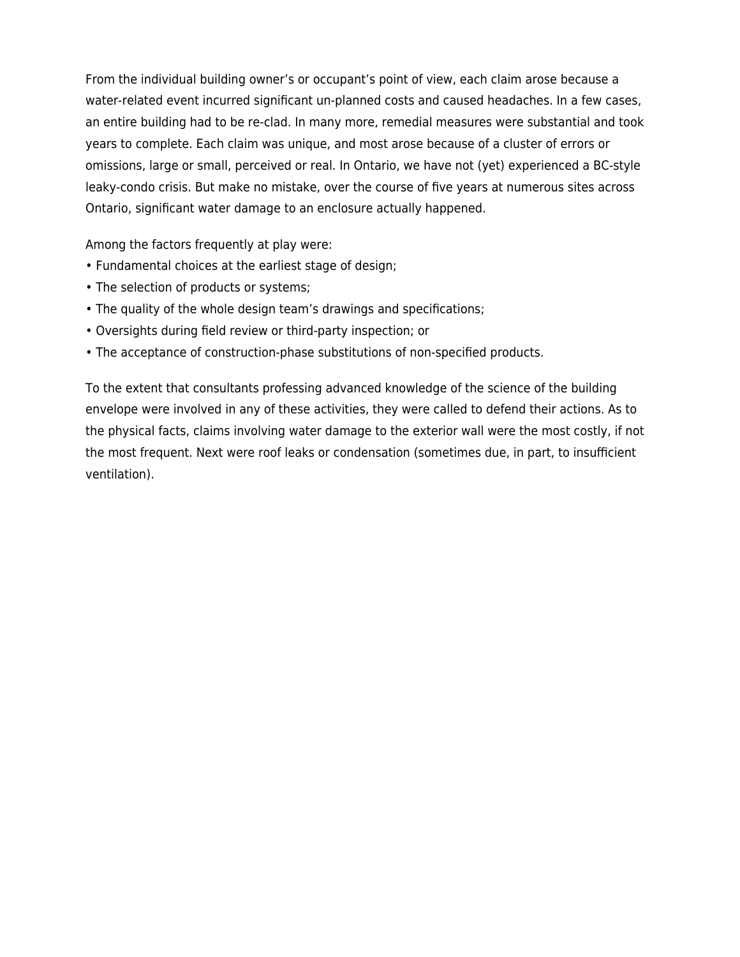From the individual building owner's or occupant's point of view, each claim arose because a water-related event incurred significant un-planned costs and caused headaches. In a few cases, an entire building had to be re-clad. In many more, remedial measures were substantial and took years to complete. Each claim was unique, and most arose because of a cluster of errors or omissions, large or small, perceived or real. In Ontario, we have not (yet) experienced a BC-style leaky-condo crisis. But make no mistake, over the course of five years at numerous sites across Ontario, significant water damage to an enclosure actually happened.

Among the factors frequently at play were:

- Fundamental choices at the earliest stage of design;
- The selection of products or systems;
- The quality of the whole design team's drawings and specifications;
- Oversights during field review or third-party inspection; or
- The acceptance of construction-phase substitutions of non-specified products.

To the extent that consultants professing advanced knowledge of the science of the building envelope were involved in any of these activities, they were called to defend their actions. As to the physical facts, claims involving water damage to the exterior wall were the most costly, if not the most frequent. Next were roof leaks or condensation (sometimes due, in part, to insufficient ventilation).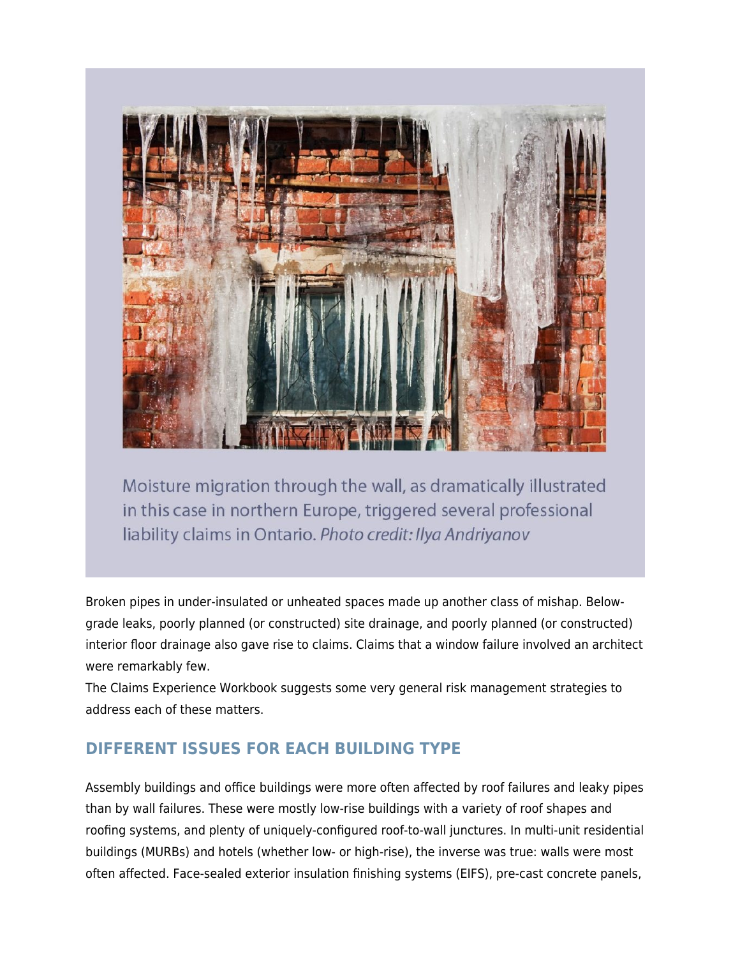

Moisture migration through the wall, as dramatically illustrated in this case in northern Europe, triggered several professional liability claims in Ontario. Photo credit: Ilya Andriyanov

Broken pipes in under-insulated or unheated spaces made up another class of mishap. Belowgrade leaks, poorly planned (or constructed) site drainage, and poorly planned (or constructed) interior floor drainage also gave rise to claims. Claims that a window failure involved an architect were remarkably few.

The Claims Experience Workbook suggests some very general risk management strategies to address each of these matters.

### **DIFFERENT ISSUES FOR EACH BUILDING TYPE**

Assembly buildings and office buildings were more often affected by roof failures and leaky pipes than by wall failures. These were mostly low-rise buildings with a variety of roof shapes and roofing systems, and plenty of uniquely-configured roof-to-wall junctures. In multi-unit residential buildings (MURBs) and hotels (whether low- or high-rise), the inverse was true: walls were most often affected. Face-sealed exterior insulation finishing systems (EIFS), pre-cast concrete panels,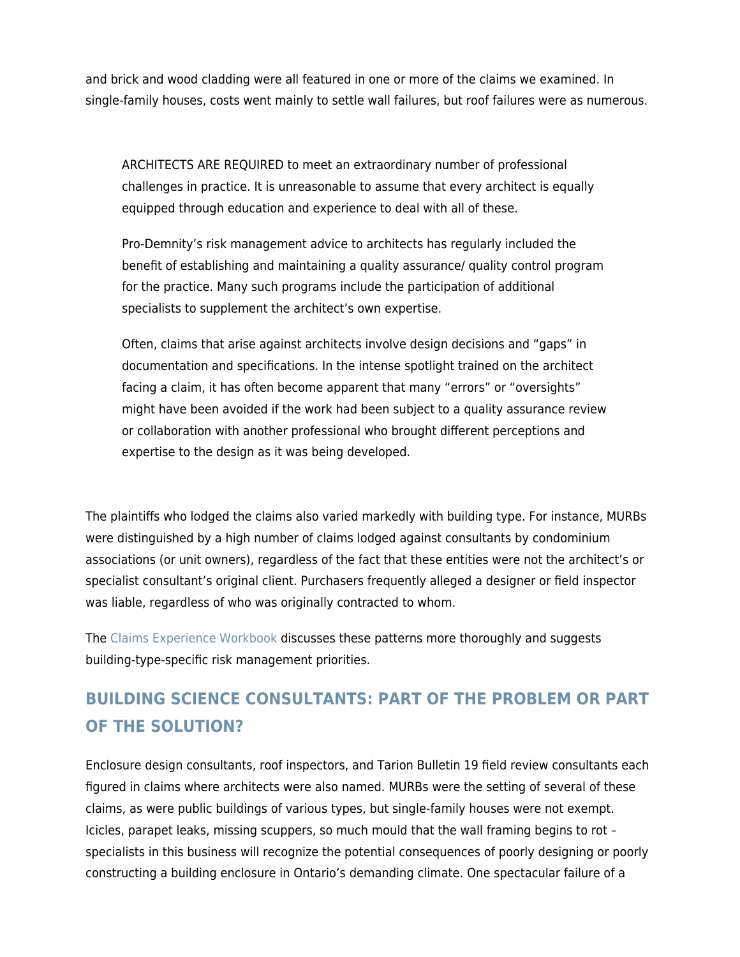and brick and wood cladding were all featured in one or more of the claims we examined. In single-family houses, costs went mainly to settle wall failures, but roof failures were as numerous.

ARCHITECTS ARE REQUIRED to meet an extraordinary number of professional challenges in practice. It is unreasonable to assume that every architect is equally equipped through education and experience to deal with all of these.

Pro-Demnity's risk management advice to architects has regularly included the benefit of establishing and maintaining a quality assurance/ quality control program for the practice. Many such programs include the participation of additional specialists to supplement the architect's own expertise.

Often, claims that arise against architects involve design decisions and "gaps" in documentation and specifications. In the intense spotlight trained on the architect facing a claim, it has often become apparent that many "errors" or "oversights" might have been avoided if the work had been subject to a quality assurance review or collaboration with another professional who brought different perceptions and expertise to the design as it was being developed.

The plaintiffs who lodged the claims also varied markedly with building type. For instance, MURBs were distinguished by a high number of claims lodged against consultants by condominium associations (or unit owners), regardless of the fact that these entities were not the architect's or specialist consultant's original client. Purchasers frequently alleged a designer or field inspector was liable, regardless of who was originally contracted to whom.

The [Claims Experience Workbook](https://prodemnity.com/wp-content/uploads/2021/05/Claims-Experience-Workbook.pdf) discusses these patterns more thoroughly and suggests building-type-specific risk management priorities.

# **BUILDING SCIENCE CONSULTANTS: PART OF THE PROBLEM OR PART OF THE SOLUTION?**

Enclosure design consultants, roof inspectors, and Tarion Bulletin 19 field review consultants each figured in claims where architects were also named. MURBs were the setting of several of these claims, as were public buildings of various types, but single-family houses were not exempt. Icicles, parapet leaks, missing scuppers, so much mould that the wall framing begins to rot – specialists in this business will recognize the potential consequences of poorly designing or poorly constructing a building enclosure in Ontario's demanding climate. One spectacular failure of a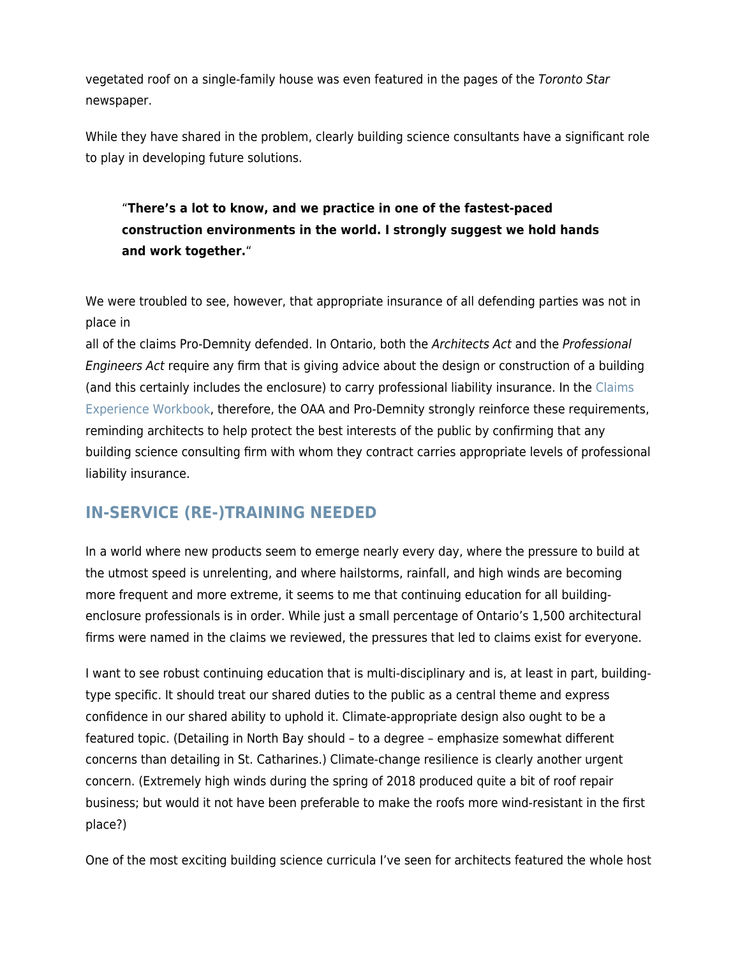vegetated roof on a single-family house was even featured in the pages of the Toronto Star newspaper.

While they have shared in the problem, clearly building science consultants have a significant role to play in developing future solutions.

#### "**There's a lot to know, and we practice in one of the fastest-paced construction environments in the world. I strongly suggest we hold hands and work together.**"

We were troubled to see, however, that appropriate insurance of all defending parties was not in place in

all of the claims Pro-Demnity defended. In Ontario, both the Architects Act and the Professional Engineers Act require any firm that is giving advice about the design or construction of a building (and this certainly includes the enclosure) to carry professional liability insurance. In the [Claims](https://prodemnity.com/wp-content/uploads/2021/05/Claims-Experience-Workbook.pdf) [Experience Workbook](https://prodemnity.com/wp-content/uploads/2021/05/Claims-Experience-Workbook.pdf), therefore, the OAA and Pro-Demnity strongly reinforce these requirements, reminding architects to help protect the best interests of the public by confirming that any building science consulting firm with whom they contract carries appropriate levels of professional liability insurance.

## **IN-SERVICE (RE-)TRAINING NEEDED**

In a world where new products seem to emerge nearly every day, where the pressure to build at the utmost speed is unrelenting, and where hailstorms, rainfall, and high winds are becoming more frequent and more extreme, it seems to me that continuing education for all buildingenclosure professionals is in order. While just a small percentage of Ontario's 1,500 architectural firms were named in the claims we reviewed, the pressures that led to claims exist for everyone.

I want to see robust continuing education that is multi-disciplinary and is, at least in part, buildingtype specific. It should treat our shared duties to the public as a central theme and express confidence in our shared ability to uphold it. Climate-appropriate design also ought to be a featured topic. (Detailing in North Bay should – to a degree – emphasize somewhat different concerns than detailing in St. Catharines.) Climate-change resilience is clearly another urgent concern. (Extremely high winds during the spring of 2018 produced quite a bit of roof repair business; but would it not have been preferable to make the roofs more wind-resistant in the first place?)

One of the most exciting building science curricula I've seen for architects featured the whole host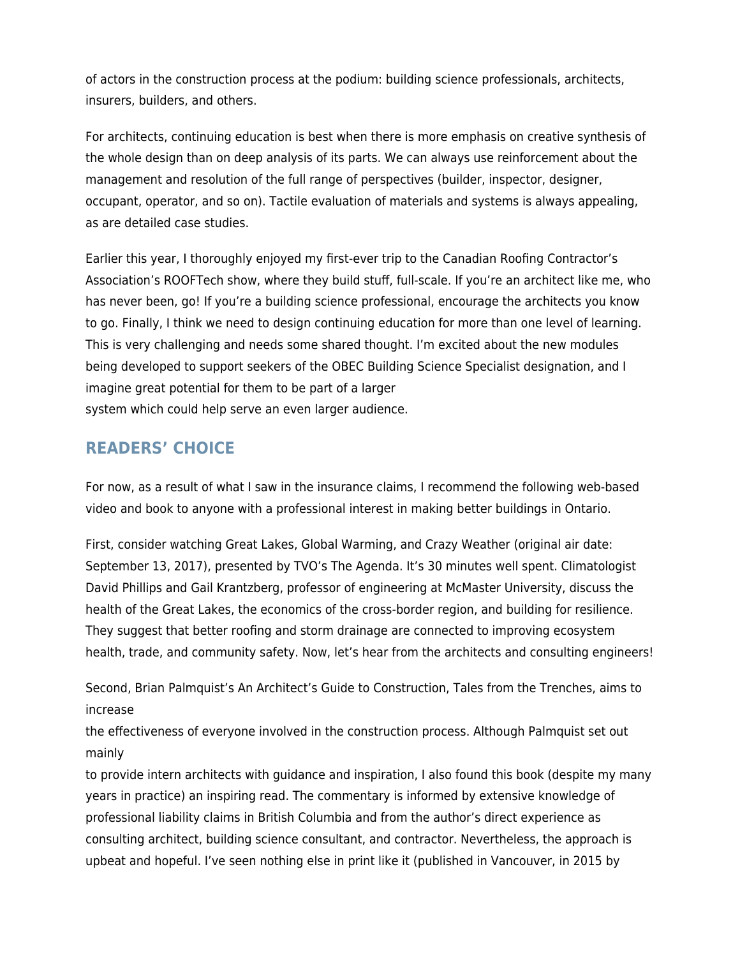of actors in the construction process at the podium: building science professionals, architects, insurers, builders, and others.

For architects, continuing education is best when there is more emphasis on creative synthesis of the whole design than on deep analysis of its parts. We can always use reinforcement about the management and resolution of the full range of perspectives (builder, inspector, designer, occupant, operator, and so on). Tactile evaluation of materials and systems is always appealing, as are detailed case studies.

Earlier this year, I thoroughly enjoyed my first-ever trip to the Canadian Roofing Contractor's Association's ROOFTech show, where they build stuff, full-scale. If you're an architect like me, who has never been, go! If you're a building science professional, encourage the architects you know to go. Finally, I think we need to design continuing education for more than one level of learning. This is very challenging and needs some shared thought. I'm excited about the new modules being developed to support seekers of the OBEC Building Science Specialist designation, and I imagine great potential for them to be part of a larger system which could help serve an even larger audience.

## **READERS' CHOICE**

For now, as a result of what I saw in the insurance claims, I recommend the following web-based video and book to anyone with a professional interest in making better buildings in Ontario.

First, consider watching Great Lakes, Global Warming, and Crazy Weather (original air date: September 13, 2017), presented by TVO's The Agenda. It's 30 minutes well spent. Climatologist David Phillips and Gail Krantzberg, professor of engineering at McMaster University, discuss the health of the Great Lakes, the economics of the cross-border region, and building for resilience. They suggest that better roofing and storm drainage are connected to improving ecosystem health, trade, and community safety. Now, let's hear from the architects and consulting engineers!

Second, Brian Palmquist's An Architect's Guide to Construction, Tales from the Trenches, aims to increase

the effectiveness of everyone involved in the construction process. Although Palmquist set out mainly

to provide intern architects with guidance and inspiration, I also found this book (despite my many years in practice) an inspiring read. The commentary is informed by extensive knowledge of professional liability claims in British Columbia and from the author's direct experience as consulting architect, building science consultant, and contractor. Nevertheless, the approach is upbeat and hopeful. I've seen nothing else in print like it (published in Vancouver, in 2015 by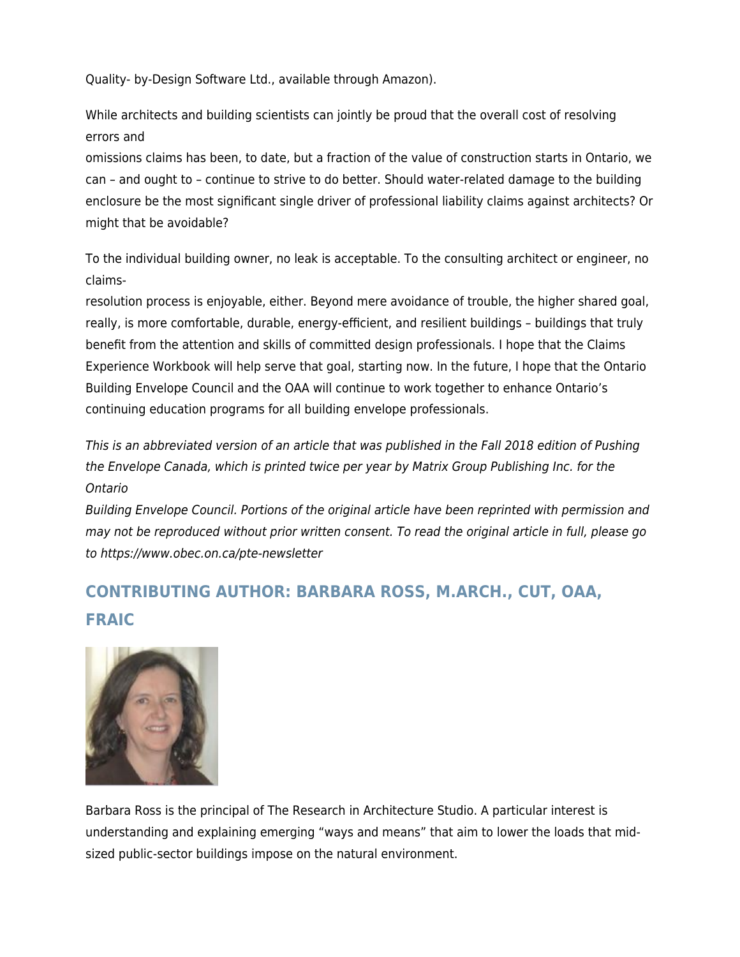Quality- by-Design Software Ltd., available through Amazon).

While architects and building scientists can jointly be proud that the overall cost of resolving errors and

omissions claims has been, to date, but a fraction of the value of construction starts in Ontario, we can – and ought to – continue to strive to do better. Should water-related damage to the building enclosure be the most significant single driver of professional liability claims against architects? Or might that be avoidable?

To the individual building owner, no leak is acceptable. To the consulting architect or engineer, no claims-

resolution process is enjoyable, either. Beyond mere avoidance of trouble, the higher shared goal, really, is more comfortable, durable, energy-efficient, and resilient buildings – buildings that truly benefit from the attention and skills of committed design professionals. I hope that the Claims Experience Workbook will help serve that goal, starting now. In the future, I hope that the Ontario Building Envelope Council and the OAA will continue to work together to enhance Ontario's continuing education programs for all building envelope professionals.

This is an abbreviated version of an article that was published in the Fall 2018 edition of Pushing the Envelope Canada, which is printed twice per year by Matrix Group Publishing Inc. for the Ontario

Building Envelope Council. Portions of the original article have been reprinted with permission and may not be reproduced without prior written consent. To read the original article in full, please go to https://www.obec.on.ca/pte-newsletter

# **CONTRIBUTING AUTHOR: BARBARA ROSS, M.ARCH., CUT, OAA, FRAIC**



Barbara Ross is the principal of The Research in Architecture Studio. A particular interest is understanding and explaining emerging "ways and means" that aim to lower the loads that midsized public-sector buildings impose on the natural environment.